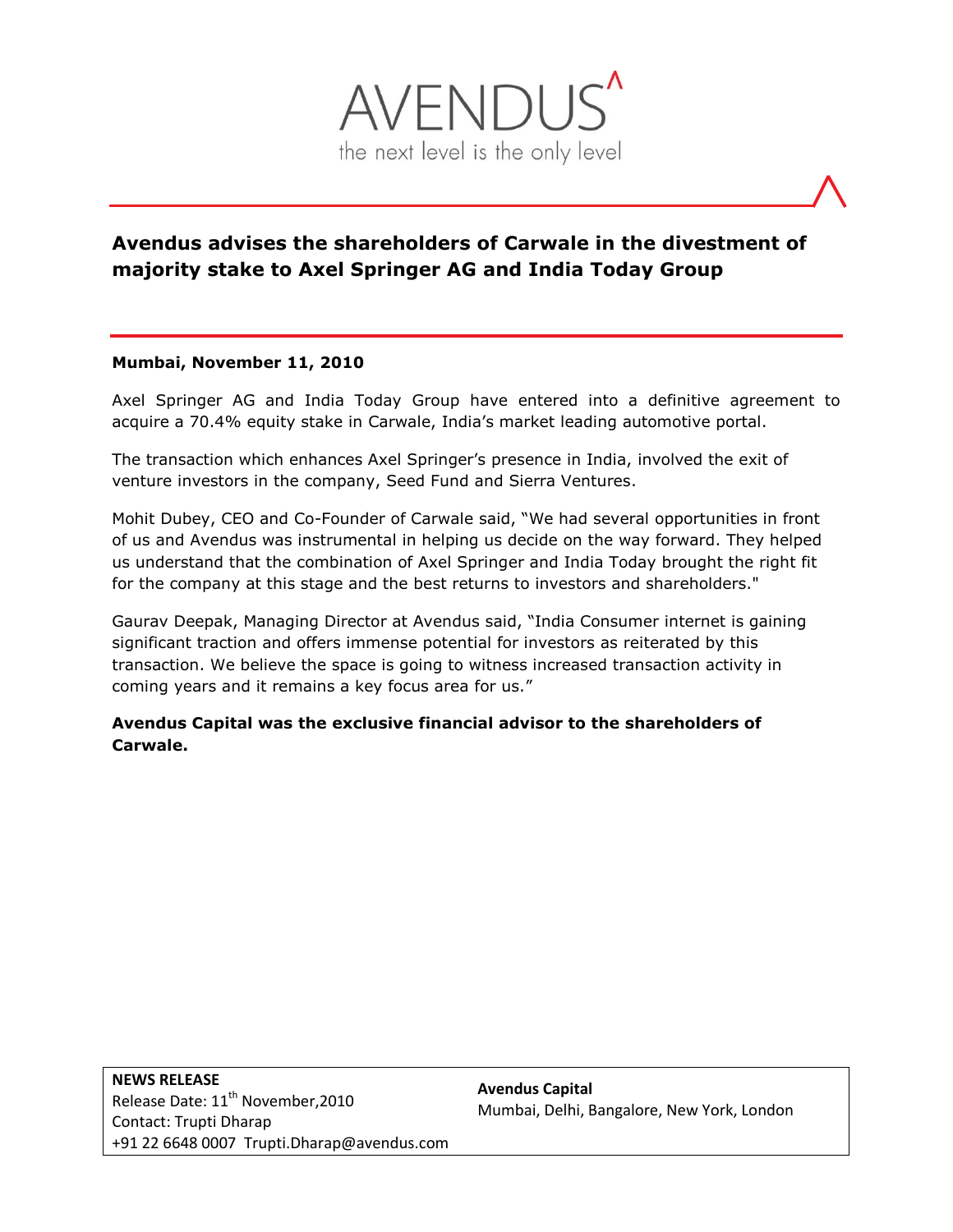

# **Avendus advises the shareholders of Carwale in the divestment of majority stake to Axel Springer AG and India Today Group**

## **Mumbai, November 11, 2010**

Axel Springer AG and India Today Group have entered into a definitive agreement to acquire a 70.4% equity stake in Carwale, India's market leading automotive portal.

The transaction which enhances Axel Springer's presence in India, involved the exit of venture investors in the company, Seed Fund and Sierra Ventures.

Mohit Dubey, CEO and Co-Founder of Carwale said, "We had several opportunities in front of us and Avendus was instrumental in helping us decide on the way forward. They helped us understand that the combination of Axel Springer and India Today brought the right fit for the company at this stage and the best returns to investors and shareholders."

Gaurav Deepak, Managing Director at Avendus said, "India Consumer internet is gaining significant traction and offers immense potential for investors as reiterated by this transaction. We believe the space is going to witness increased transaction activity in coming years and it remains a key focus area for us."

**Avendus Capital was the exclusive financial advisor to the shareholders of Carwale.**